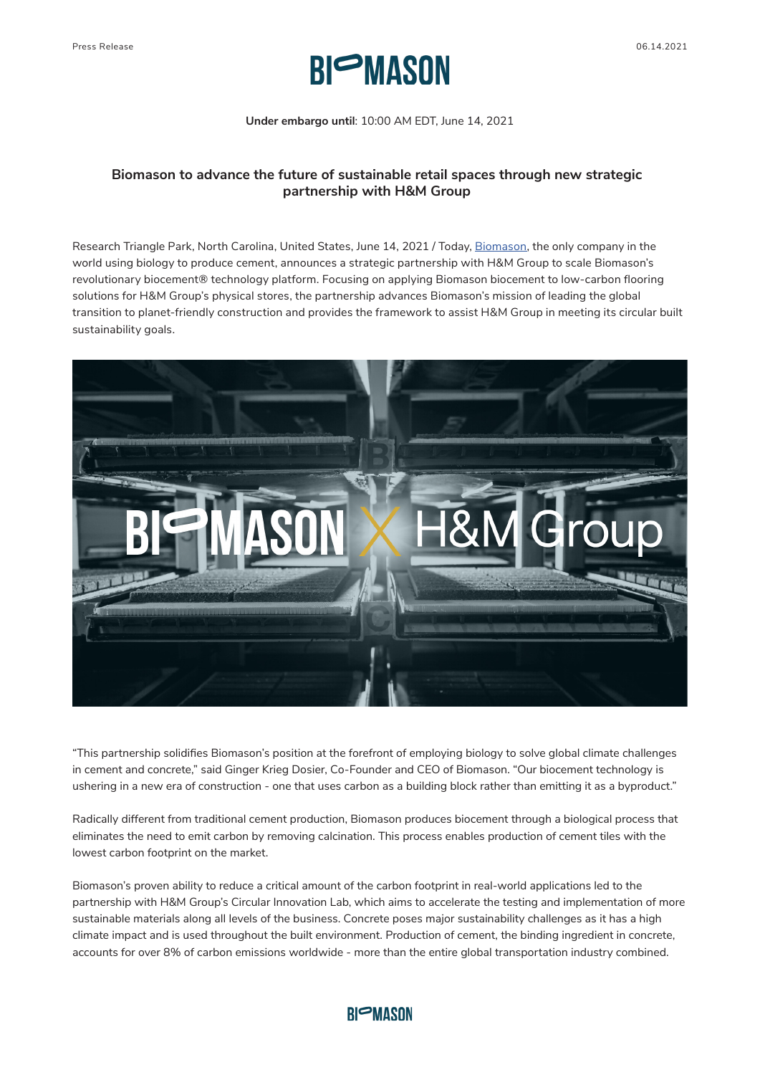

**Under embargo until**: 10:00 AM EDT, June 14, 2021

## **Biomason to advance the future of sustainable retail spaces through new strategic partnership with H&M Group**

Research Triangle Park, North Carolina, United States, June 14, 2021 / Today, Biomason, the only company in the world using biology to produce cement, announces a strategic partnership with H&M Group to scale Biomason's revolutionary biocement® technology platform. Focusing on applying Biomason biocement to low-carbon flooring solutions for H&M Group's physical stores, the partnership advances Biomason's mission of leading the global transition to planet-friendly construction and provides the framework to assist H&M Group in meeting its circular built sustainability goals.



"This partnership solidifies Biomason's position at the forefront of employing biology to solve global climate challenges in cement and concrete," said Ginger Krieg Dosier, Co-Founder and CEO of Biomason. "Our biocement technology is ushering in a new era of construction - one that uses carbon as a building block rather than emitting it as a byproduct."

Radically different from traditional cement production, Biomason produces biocement through a biological process that eliminates the need to emit carbon by removing calcination. This process enables production of cement tiles with the lowest carbon footprint on the market.

Biomason's proven ability to reduce a critical amount of the carbon footprint in real-world applications led to the partnership with H&M Group's Circular Innovation Lab, which aims to accelerate the testing and implementation of more sustainable materials along all levels of the business. Concrete poses major sustainability challenges as it has a high climate impact and is used throughout the built environment. Production of cement, the binding ingredient in concrete, accounts for over 8% of carbon emissions worldwide - more than the entire global transportation industry combined.